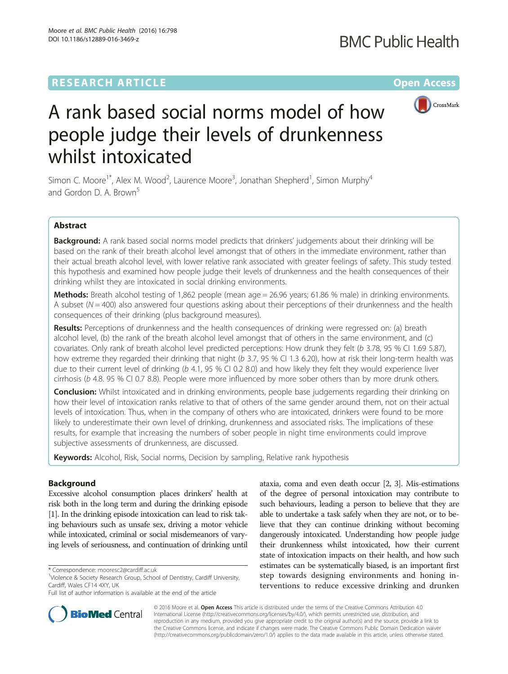## **RESEARCH ARTICLE External Structure Community Community Community Community Community Community Community Community**



# A rank based social norms model of how people judge their levels of drunkenness whilst intoxicated

Simon C. Moore<sup>1\*</sup>, Alex M. Wood<sup>2</sup>, Laurence Moore<sup>3</sup>, Jonathan Shepherd<sup>1</sup>, Simon Murphy<sup>4</sup> and Gordon D. A. Brown<sup>5</sup>

## Abstract

Background: A rank based social norms model predicts that drinkers' judgements about their drinking will be based on the rank of their breath alcohol level amongst that of others in the immediate environment, rather than their actual breath alcohol level, with lower relative rank associated with greater feelings of safety. This study tested this hypothesis and examined how people judge their levels of drunkenness and the health consequences of their drinking whilst they are intoxicated in social drinking environments.

Methods: Breath alcohol testing of 1,862 people (mean age = 26.96 years; 61.86 % male) in drinking environments. A subset ( $N = 400$ ) also answered four questions asking about their perceptions of their drunkenness and the health consequences of their drinking (plus background measures).

Results: Perceptions of drunkenness and the health consequences of drinking were regressed on: (a) breath alcohol level, (b) the rank of the breath alcohol level amongst that of others in the same environment, and (c) covariates. Only rank of breath alcohol level predicted perceptions: How drunk they felt (b 3.78, 95 % CI 1.69 5.87), how extreme they regarded their drinking that night (b 3.7, 95 % CI 1.3 6.20), how at risk their long-term health was due to their current level of drinking (b 4.1, 95 % CI 0.2 8.0) and how likely they felt they would experience liver cirrhosis (b 4.8. 95 % CI 0.7 8.8). People were more influenced by more sober others than by more drunk others.

**Conclusion:** Whilst intoxicated and in drinking environments, people base judgements regarding their drinking on how their level of intoxication ranks relative to that of others of the same gender around them, not on their actual levels of intoxication. Thus, when in the company of others who are intoxicated, drinkers were found to be more likely to underestimate their own level of drinking, drunkenness and associated risks. The implications of these results, for example that increasing the numbers of sober people in night time environments could improve subjective assessments of drunkenness, are discussed.

Keywords: Alcohol, Risk, Social norms, Decision by sampling, Relative rank hypothesis

## Background

Excessive alcohol consumption places drinkers' health at risk both in the long term and during the drinking episode [[1](#page-7-0)]. In the drinking episode intoxication can lead to risk taking behaviours such as unsafe sex, driving a motor vehicle while intoxicated, criminal or social misdemeanors of varying levels of seriousness, and continuation of drinking until

Full list of author information is available at the end of the article



**BioMed** Central

© 2016 Moore et al. Open Access This article is distributed under the terms of the Creative Commons Attribution 4.0 International License [\(http://creativecommons.org/licenses/by/4.0/](http://creativecommons.org/licenses/by/4.0/)), which permits unrestricted use, distribution, and reproduction in any medium, provided you give appropriate credit to the original author(s) and the source, provide a link to the Creative Commons license, and indicate if changes were made. The Creative Commons Public Domain Dedication waiver [\(http://creativecommons.org/publicdomain/zero/1.0/](http://creativecommons.org/publicdomain/zero/1.0/)) applies to the data made available in this article, unless otherwise stated.

<sup>\*</sup> Correspondence: [mooresc2@cardiff.ac.uk](mailto:mooresc2@cardiff.ac.uk) <sup>1</sup>

<sup>&</sup>lt;sup>1</sup>Violence & Society Research Group, School of Dentistry, Cardiff University, Cardiff, Wales CF14 4XY, UK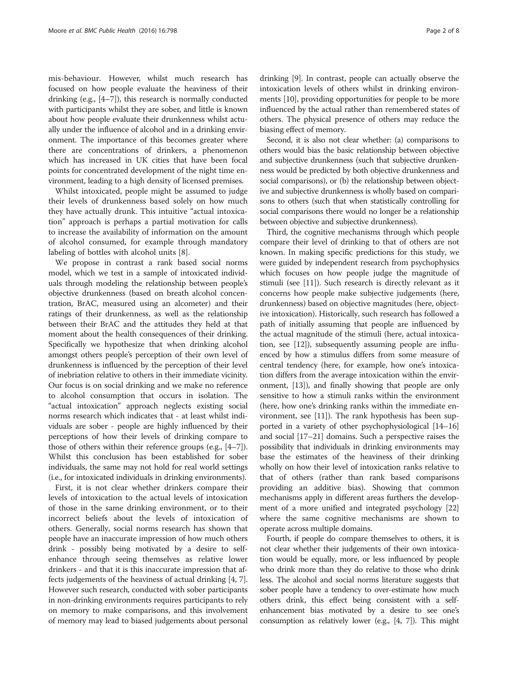mis-behaviour. However, whilst much research has focused on how people evaluate the heaviness of their drinking (e.g., [\[4](#page-7-0)–[7\]](#page-7-0)), this research is normally conducted with participants whilst they are sober, and little is known about how people evaluate their drunkenness whilst actually under the influence of alcohol and in a drinking environment. The importance of this becomes greater where there are concentrations of drinkers, a phenomenon which has increased in UK cities that have been focal points for concentrated development of the night time environment, leading to a high density of licensed premises.

Whilst intoxicated, people might be assumed to judge their levels of drunkenness based solely on how much they have actually drunk. This intuitive "actual intoxication" approach is perhaps a partial motivation for calls to increase the availability of information on the amount of alcohol consumed, for example through mandatory labeling of bottles with alcohol units [\[8](#page-7-0)].

We propose in contrast a rank based social norms model, which we test in a sample of intoxicated individuals through modeling the relationship between people's objective drunkenness (based on breath alcohol concentration, BrAC, measured using an alcometer) and their ratings of their drunkenness, as well as the relationship between their BrAC and the attitudes they held at that moment about the health consequences of their drinking. Specifically we hypothesize that when drinking alcohol amongst others people's perception of their own level of drunkenness is influenced by the perception of their level of inebriation relative to others in their immediate vicinity. Our focus is on social drinking and we make no reference to alcohol consumption that occurs in isolation. The "actual intoxication" approach neglects existing social norms research which indicates that - at least whilst individuals are sober - people are highly influenced by their perceptions of how their levels of drinking compare to those of others within their reference groups (e.g., [[4](#page-7-0)–[7](#page-7-0)]). Whilst this conclusion has been established for sober individuals, the same may not hold for real world settings (i.e., for intoxicated individuals in drinking environments).

First, it is not clear whether drinkers compare their levels of intoxication to the actual levels of intoxication of those in the same drinking environment, or to their incorrect beliefs about the levels of intoxication of others. Generally, social norms research has shown that people have an inaccurate impression of how much others drink - possibly being motivated by a desire to selfenhance through seeing themselves as relative lower drinkers - and that it is this inaccurate impression that affects judgements of the heaviness of actual drinking [[4, 7](#page-7-0)]. However such research, conducted with sober participants in non-drinking environments requires participants to rely on memory to make comparisons, and this involvement of memory may lead to biased judgements about personal

drinking [\[9](#page-7-0)]. In contrast, people can actually observe the intoxication levels of others whilst in drinking environments [\[10\]](#page-7-0), providing opportunities for people to be more influenced by the actual rather than remembered states of others. The physical presence of others may reduce the biasing effect of memory.

Second, it is also not clear whether: (a) comparisons to others would bias the basic relationship between objective and subjective drunkenness (such that subjective drunkenness would be predicted by both objective drunkenness and social comparisons), or (b) the relationship between objective and subjective drunkenness is wholly based on comparisons to others (such that when statistically controlling for social comparisons there would no longer be a relationship between objective and subjective drunkenness).

Third, the cognitive mechanisms through which people compare their level of drinking to that of others are not known. In making specific predictions for this study, we were guided by independent research from psychophysics which focuses on how people judge the magnitude of stimuli (see [[11](#page-7-0)]). Such research is directly relevant as it concerns how people make subjective judgements (here, drunkenness) based on objective magnitudes (here, objective intoxication). Historically, such research has followed a path of initially assuming that people are influenced by the actual magnitude of the stimuli (here, actual intoxication, see [\[12](#page-7-0)]), subsequently assuming people are influenced by how a stimulus differs from some measure of central tendency (here, for example, how one's intoxication differs from the average intoxication within the environment, [[13](#page-7-0)]), and finally showing that people are only sensitive to how a stimuli ranks within the environment (here, how one's drinking ranks within the immediate environment, see [[11](#page-7-0)]). The rank hypothesis has been supported in a variety of other psychophysiological [\[14](#page-7-0)–[16](#page-7-0)] and social [\[17](#page-7-0)–[21](#page-7-0)] domains. Such a perspective raises the possibility that individuals in drinking environments may base the estimates of the heaviness of their drinking wholly on how their level of intoxication ranks relative to that of others (rather than rank based comparisons providing an additive bias). Showing that common mechanisms apply in different areas furthers the development of a more unified and integrated psychology [[22](#page-7-0)] where the same cognitive mechanisms are shown to operate across multiple domains.

Fourth, if people do compare themselves to others, it is not clear whether their judgements of their own intoxication would be equally, more, or less influenced by people who drink more than they do relative to those who drink less. The alcohol and social norms literature suggests that sober people have a tendency to over-estimate how much others drink, this effect being consistent with a selfenhancement bias motivated by a desire to see one's consumption as relatively lower (e.g., [[4](#page-7-0), [7\]](#page-7-0)). This might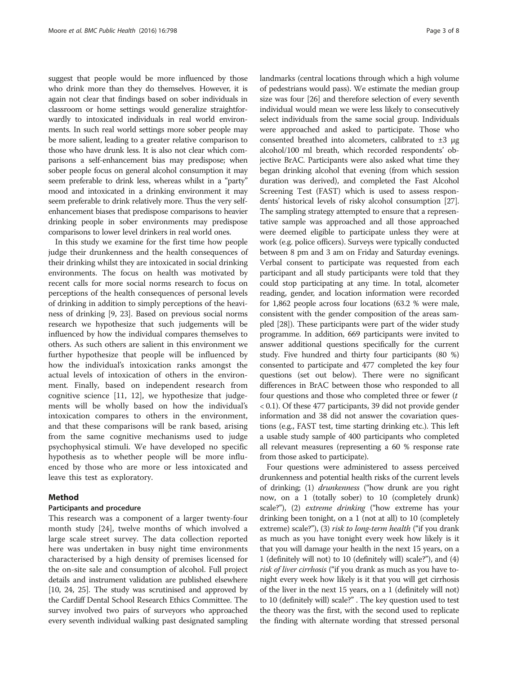suggest that people would be more influenced by those who drink more than they do themselves. However, it is again not clear that findings based on sober individuals in classroom or home settings would generalize straightforwardly to intoxicated individuals in real world environments. In such real world settings more sober people may be more salient, leading to a greater relative comparison to those who have drunk less. It is also not clear which comparisons a self-enhancement bias may predispose; when sober people focus on general alcohol consumption it may seem preferable to drink less, whereas whilst in a "party" mood and intoxicated in a drinking environment it may seem preferable to drink relatively more. Thus the very selfenhancement biases that predispose comparisons to heavier drinking people in sober environments may predispose comparisons to lower level drinkers in real world ones.

In this study we examine for the first time how people judge their drunkenness and the health consequences of their drinking whilst they are intoxicated in social drinking environments. The focus on health was motivated by recent calls for more social norms research to focus on perceptions of the health consequences of personal levels of drinking in addition to simply perceptions of the heaviness of drinking [\[9, 23](#page-7-0)]. Based on previous social norms research we hypothesize that such judgements will be influenced by how the individual compares themselves to others. As such others are salient in this environment we further hypothesize that people will be influenced by how the individual's intoxication ranks amongst the actual levels of intoxication of others in the environment. Finally, based on independent research from cognitive science [[11](#page-7-0), [12\]](#page-7-0), we hypothesize that judgements will be wholly based on how the individual's intoxication compares to others in the environment, and that these comparisons will be rank based, arising from the same cognitive mechanisms used to judge psychophysical stimuli. We have developed no specific hypothesis as to whether people will be more influenced by those who are more or less intoxicated and leave this test as exploratory.

## Method

#### Participants and procedure

This research was a component of a larger twenty-four month study [[24](#page-7-0)], twelve months of which involved a large scale street survey. The data collection reported here was undertaken in busy night time environments characterised by a high density of premises licensed for the on-site sale and consumption of alcohol. Full project details and instrument validation are published elsewhere [[10](#page-7-0), [24](#page-7-0), [25\]](#page-7-0). The study was scrutinised and approved by the Cardiff Dental School Research Ethics Committee. The survey involved two pairs of surveyors who approached every seventh individual walking past designated sampling landmarks (central locations through which a high volume of pedestrians would pass). We estimate the median group size was four [\[26\]](#page-7-0) and therefore selection of every seventh individual would mean we were less likely to consecutively select individuals from the same social group. Individuals were approached and asked to participate. Those who consented breathed into alcometers, calibrated to  $\pm 3$  μg alcohol/100 ml breath, which recorded respondents' objective BrAC. Participants were also asked what time they began drinking alcohol that evening (from which session duration was derived), and completed the Fast Alcohol Screening Test (FAST) which is used to assess respondents' historical levels of risky alcohol consumption [\[27](#page-7-0)]. The sampling strategy attempted to ensure that a representative sample was approached and all those approached were deemed eligible to participate unless they were at work (e.g. police officers). Surveys were typically conducted between 8 pm and 3 am on Friday and Saturday evenings. Verbal consent to participate was requested from each participant and all study participants were told that they could stop participating at any time. In total, alcometer reading, gender, and location information were recorded for 1,862 people across four locations (63.2 % were male, consistent with the gender composition of the areas sampled [[28](#page-7-0)]). These participants were part of the wider study programme. In addition, 669 participants were invited to answer additional questions specifically for the current study. Five hundred and thirty four participants (80 %) consented to participate and 477 completed the key four questions (set out below). There were no significant differences in BrAC between those who responded to all four questions and those who completed three or fewer  $(t)$ < 0.1). Of these 477 participants, 39 did not provide gender information and 38 did not answer the covariation questions (e.g., FAST test, time starting drinking etc.). This left a usable study sample of 400 participants who completed all relevant measures (representing a 60 % response rate from those asked to participate).

Four questions were administered to assess perceived drunkenness and potential health risks of the current levels of drinking; (1) drunkenness ("how drunk are you right now, on a 1 (totally sober) to 10 (completely drunk) scale?"), (2) extreme drinking ("how extreme has your drinking been tonight, on a 1 (not at all) to 10 (completely extreme) scale?"), (3) risk to long-term health ("if you drank as much as you have tonight every week how likely is it that you will damage your health in the next 15 years, on a 1 (definitely will not) to 10 (definitely will) scale?"), and (4) risk of liver cirrhosis ("if you drank as much as you have tonight every week how likely is it that you will get cirrhosis of the liver in the next 15 years, on a 1 (definitely will not) to 10 (definitely will) scale?" . The key question used to test the theory was the first, with the second used to replicate the finding with alternate wording that stressed personal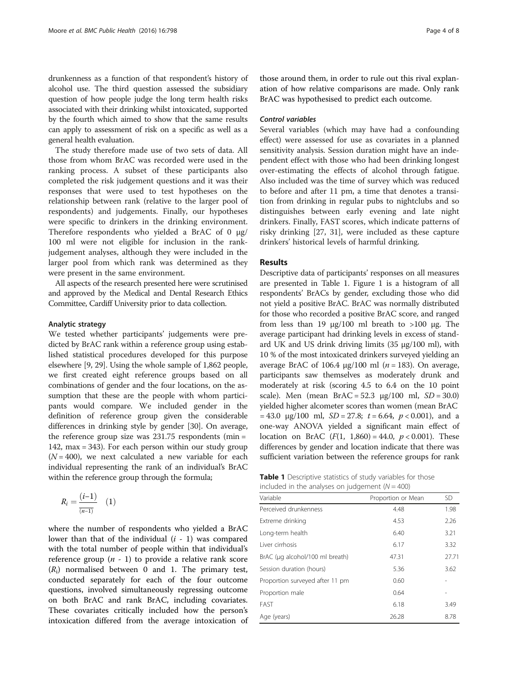<span id="page-3-0"></span>drunkenness as a function of that respondent's history of alcohol use. The third question assessed the subsidiary question of how people judge the long term health risks associated with their drinking whilst intoxicated, supported by the fourth which aimed to show that the same results can apply to assessment of risk on a specific as well as a general health evaluation.

The study therefore made use of two sets of data. All those from whom BrAC was recorded were used in the ranking process. A subset of these participants also completed the risk judgement questions and it was their responses that were used to test hypotheses on the relationship between rank (relative to the larger pool of respondents) and judgements. Finally, our hypotheses were specific to drinkers in the drinking environment. Therefore respondents who yielded a BrAC of 0 μg/ 100 ml were not eligible for inclusion in the rankjudgement analyses, although they were included in the larger pool from which rank was determined as they were present in the same environment.

All aspects of the research presented here were scrutinised and approved by the Medical and Dental Research Ethics Committee, Cardiff University prior to data collection.

#### Analytic strategy

We tested whether participants' judgements were predicted by BrAC rank within a reference group using established statistical procedures developed for this purpose elsewhere [[9](#page-7-0), [29\]](#page-7-0). Using the whole sample of 1,862 people, we first created eight reference groups based on all combinations of gender and the four locations, on the assumption that these are the people with whom participants would compare. We included gender in the definition of reference group given the considerable differences in drinking style by gender [\[30\]](#page-7-0). On average, the reference group size was 231.75 respondents (min = 142, max = 343). For each person within our study group  $(N = 400)$ , we next calculated a new variable for each individual representing the rank of an individual's BrAC within the reference group through the formula;

$$
R_i = \frac{(i-1)}{\frac{(n-1)}{(n-1)}} \quad (1)
$$

where the number of respondents who yielded a BrAC lower than that of the individual  $(i - 1)$  was compared with the total number of people within that individual's reference group  $(n - 1)$  to provide a relative rank score  $(R_i)$  normalised between 0 and 1. The primary test, conducted separately for each of the four outcome questions, involved simultaneously regressing outcome on both BrAC and rank BrAC, including covariates. These covariates critically included how the person's intoxication differed from the average intoxication of

those around them, in order to rule out this rival explanation of how relative comparisons are made. Only rank BrAC was hypothesised to predict each outcome.

## Control variables

Several variables (which may have had a confounding effect) were assessed for use as covariates in a planned sensitivity analysis. Session duration might have an independent effect with those who had been drinking longest over-estimating the effects of alcohol through fatigue. Also included was the time of survey which was reduced to before and after 11 pm, a time that denotes a transition from drinking in regular pubs to nightclubs and so distinguishes between early evening and late night drinkers. Finally, FAST scores, which indicate patterns of risky drinking [[27](#page-7-0), [31\]](#page-7-0), were included as these capture drinkers' historical levels of harmful drinking.

#### Results

Descriptive data of participants' responses on all measures are presented in Table 1. Figure [1](#page-4-0) is a histogram of all respondents' BrACs by gender, excluding those who did not yield a positive BrAC. BrAC was normally distributed for those who recorded a positive BrAC score, and ranged from less than 19  $\mu$ g/100 ml breath to >100  $\mu$ g. The average participant had drinking levels in excess of standard UK and US drink driving limits (35 μg/100 ml), with 10 % of the most intoxicated drinkers surveyed yielding an average BrAC of 106.4 μg/100 ml ( $n = 183$ ). On average, participants saw themselves as moderately drunk and moderately at risk (scoring 4.5 to 6.4 on the 10 point scale). Men (mean  $BrAC = 52.3 \mu g/100 \text{ ml}, SD = 30.0$ ) yielded higher alcometer scores than women (mean BrAC  $= 43.0 \text{ \mu g}/100 \text{ \text{ ml}}, \text{ } SD = 27.8; t = 6.64, p < 0.001$ , and a one-way ANOVA yielded a significant main effect of location on BrAC  $(F(1, 1, 860) = 44.0, p < 0.001)$ . These differences by gender and location indicate that there was sufficient variation between the reference groups for rank

| <b>Table 1</b> Descriptive statistics of study variables for those |  |
|--------------------------------------------------------------------|--|
| included in the analyses on judgement ( $N = 400$ )                |  |

| Variable                        | Proportion or Mean | <b>SD</b> |
|---------------------------------|--------------------|-----------|
| Perceived drunkenness           | 4.48               | 1.98      |
| Extreme drinking                | 4.53               | 2.26      |
| Long-term health                | 6.40               | 3.21      |
| Liver cirrhosis                 | 6.17               | 3.32      |
| BrAC (µg alcohol/100 ml breath) | 47.31              | 27.71     |
| Session duration (hours)        | 5.36               | 3.62      |
| Proportion surveyed after 11 pm | 0.60               |           |
| Proportion male                 | 0.64               |           |
| <b>FAST</b>                     | 6.18               | 3.49      |
| Age (years)                     | 26.28              | 8.78      |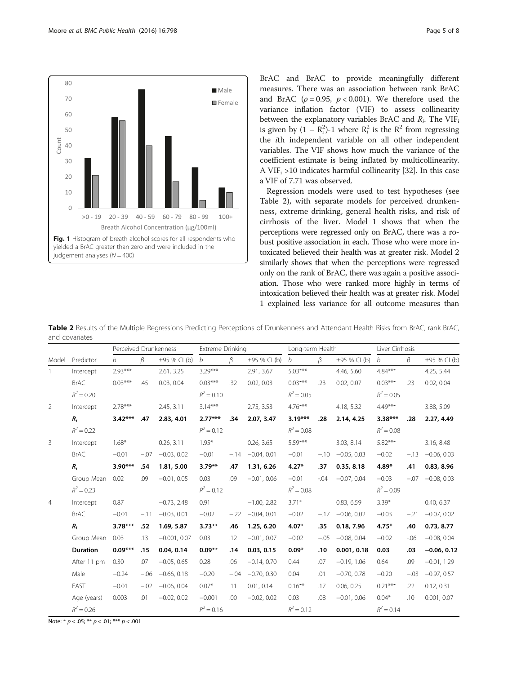<span id="page-4-0"></span>

BrAC and BrAC to provide meaningfully different measures. There was an association between rank BrAC and BrAC ( $\rho = 0.95$ ,  $p < 0.001$ ). We therefore used the variance inflation factor (VIF) to assess collinearity between the explanatory variables BrAC and  $R_i$ . The VIF<sub>i</sub> is given by  $(1 - R_i^2)$ -1 where  $R_i^2$  is the  $R^2$  from regressing the ith independent variable on all other independent variables. The VIF shows how much the variance of the coefficient estimate is being inflated by multicollinearity. A VIF<sub>i</sub> >10 indicates harmful collinearity [[32](#page-7-0)]. In this case a VIF of 7.71 was observed.

Regression models were used to test hypotheses (see Table 2), with separate models for perceived drunkenness, extreme drinking, general health risks, and risk of cirrhosis of the liver. Model 1 shows that when the perceptions were regressed only on BrAC, there was a robust positive association in each. Those who were more intoxicated believed their health was at greater risk. Model 2 similarly shows that when the perceptions were regressed only on the rank of BrAC, there was again a positive association. Those who were ranked more highly in terms of intoxication believed their health was at greater risk. Model 1 explained less variance for all outcome measures than

Table 2 Results of the Multiple Regressions Predicting Perceptions of Drunkenness and Attendant Health Risks from BrAC, rank BrAC, and covariates

| Model          | Predictor       | Perceived Drunkenness |        |                | Extreme Drinking |        | Long-term Health |              |         | Liver Cirrhosis |              |        |               |
|----------------|-----------------|-----------------------|--------|----------------|------------------|--------|------------------|--------------|---------|-----------------|--------------|--------|---------------|
|                |                 | b                     | ß      | $±95%$ CI (b)  | b                | ß      | $±95%$ CI (b)    | b            | β       | $±95%$ CI(b)    | b            | β      | ±95 % CI (b)  |
|                | Intercept       | $2.93***$             |        | 2.61, 3.25     | $3.29***$        |        | 2.91, 3.67       | $5.03***$    |         | 4.46, 5.60      | $4.84***$    |        | 4.25, 5.44    |
|                | <b>BrAC</b>     | $0.03***$             | .45    | 0.03, 0.04     | $0.03***$        | .32    | 0.02, 0.03       | $0.03***$    | .23     | 0.02, 0.07      | $0.03***$    | .23    | 0.02, 0.04    |
|                | $R^2 = 0.20$    |                       |        |                | $R^2 = 0.10$     |        |                  | $R^2 = 0.05$ |         |                 | $R^2 = 0.05$ |        |               |
| $\overline{2}$ | Intercept       | $2.78***$             |        | 2.45, 3.11     | $3.14***$        |        | 2.75, 3.53       | $4.76***$    |         | 4.18, 5.32      | $4.49***$    |        | 3.88, 5.09    |
|                | $R_i$           | $3.42***$             | .47    | 2.83, 4.01     | $2.77***$        | .34    | 2.07, 3.47       | $3.19***$    | .28     | 2.14, 4.25      | $3.38***$    | .28    | 2.27, 4.49    |
|                | $R^2 = 0.22$    |                       |        |                | $R^2 = 0.12$     |        |                  | $R^2 = 0.08$ |         |                 | $R^2 = 0.08$ |        |               |
| 3              | Intercept       | $1.68*$               |        | 0.26, 3.11     | $1.95*$          |        | 0.26, 3.65       | 5.59***      |         | 3.03, 8.14      | $5.82***$    |        | 3.16, 8.48    |
|                | <b>BrAC</b>     | $-0.01$               | $-.07$ | $-0.03, 0.02$  | $-0.01$          | $-.14$ | $-0.04, 0.01$    | $-0.01$      | $-.10$  | $-0.05, 0.03$   | $-0.02$      | $-.13$ | $-0.06, 0.03$ |
|                | $R_i$           | $3.90***$             | .54    | 1.81, 5.00     | $3.79**$         | .47    | 1.31, 6.26       | $4.27*$      | .37     | 0.35, 8.18      | 4.89*        | .41    | 0.83, 8.96    |
|                | Group Mean      | 0.02                  | .09    | $-0.01, 0.05$  | 0.03             | .09    | $-0.01, 0.06$    | $-0.01$      | $-0.04$ | $-0.07, 0.04$   | $-0.03$      | $-.07$ | $-0.08, 0.03$ |
|                | $R^2 = 0.23$    |                       |        |                | $R^2 = 0.12$     |        |                  | $R^2 = 0.08$ |         |                 | $R^2 = 0.09$ |        |               |
| $\overline{4}$ | Intercept       | 0.87                  |        | $-0.73, 2.48$  | 0.91             |        | $-1.00, 2.82$    | $3.71*$      |         | 0.83, 6.59      | $3.39*$      |        | 0.40, 6.37    |
|                | <b>BrAC</b>     | $-0.01$               | $-.11$ | $-0.03, 0.01$  | $-0.02$          | $-.22$ | $-0.04, 0.01$    | $-0.02$      | $-.17$  | $-0.06, 0.02$   | $-0.03$      | $-.21$ | $-0.07, 0.02$ |
|                | $R_i$           | $3.78***$             | .52    | 1.69, 5.87     | $3.73**$         | .46    | 1.25, 6.20       | $4.07*$      | .35     | 0.18, 7.96      | $4.75*$      | .40    | 0.73, 8.77    |
|                | Group Mean      | 0.03                  | .13    | $-0.001, 0.07$ | 0.03             | .12    | $-0.01, 0.07$    | $-0.02$      | $-.05$  | $-0.08, 0.04$   | $-0.02$      | $-06$  | $-0.08, 0.04$ |
|                | <b>Duration</b> | $0.09***$             | .15    | 0.04, 0.14     | $0.09**$         | .14    | 0.03, 0.15       | $0.09*$      | .10     | 0.001, 0.18     | 0.03         | .03    | $-0.06, 0.12$ |
|                | After 11 pm     | 0.30                  | .07    | $-0.05, 0.65$  | 0.28             | .06    | $-0.14, 0.70$    | 0.44         | .07     | $-0.19, 1.06$   | 0.64         | .09    | $-0.01, 1.29$ |
|                | Male            | $-0.24$               | $-.06$ | $-0.66, 0.18$  | $-0.20$          | $-.04$ | $-0.70, 0.30$    | 0.04         | .01     | $-0.70, 0.78$   | $-0.20$      | $-.03$ | $-0.97, 0.57$ |
|                | FAST            | $-0.01$               | $-.02$ | $-0.06, 0.04$  | $0.07*$          | .11    | 0.01, 0.14       | $0.16***$    | .17     | 0.06, 0.25      | $0.21***$    | .22    | 0.12, 0.31    |
|                | Age (years)     | 0.003                 | .01    | $-0.02, 0.02$  | $-0.001$         | .00    | $-0.02, 0.02$    | 0.03         | .08     | $-0.01, 0.06$   | $0.04*$      | .10    | 0.001, 0.07   |
|                | $R^2 = 0.26$    |                       |        |                | $R^2 = 0.16$     |        |                  | $R^2 = 0.12$ |         |                 | $R^2 = 0.14$ |        |               |

Note: \* p < .05; \*\* p < .01; \*\*\* p < .001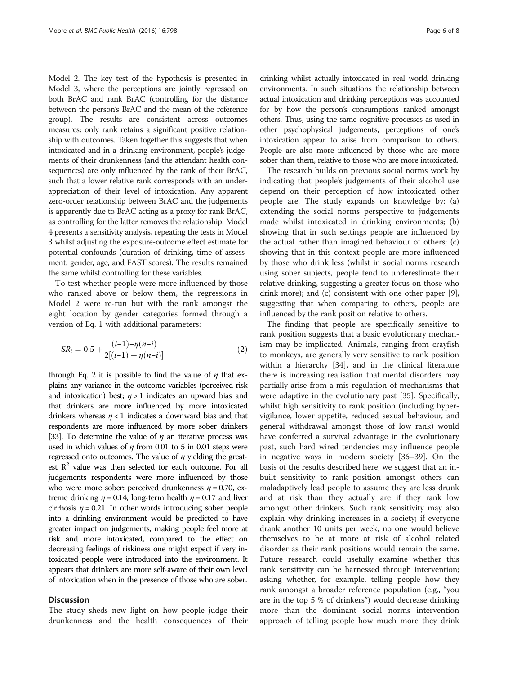Model 2. The key test of the hypothesis is presented in Model 3, where the perceptions are jointly regressed on both BrAC and rank BrAC (controlling for the distance between the person's BrAC and the mean of the reference group). The results are consistent across outcomes measures: only rank retains a significant positive relationship with outcomes. Taken together this suggests that when intoxicated and in a drinking environment, people's judgements of their drunkenness (and the attendant health consequences) are only influenced by the rank of their BrAC, such that a lower relative rank corresponds with an underappreciation of their level of intoxication. Any apparent zero-order relationship between BrAC and the judgements is apparently due to BrAC acting as a proxy for rank BrAC, as controlling for the latter removes the relationship. Model 4 presents a sensitivity analysis, repeating the tests in Model 3 whilst adjusting the exposure-outcome effect estimate for potential confounds (duration of drinking, time of assessment, gender, age, and FAST scores). The results remained the same whilst controlling for these variables.

To test whether people were more influenced by those who ranked above or below them, the regressions in Model 2 were re-run but with the rank amongst the eight location by gender categories formed through a version of Eq. [1](#page-3-0) with additional parameters:

$$
SR_i = 0.5 + \frac{(i-1)-\eta(n-i)}{2[(i-1)+\eta(n-i)]}
$$
\n(2)

through Eq. 2 it is possible to find the value of  $\eta$  that explains any variance in the outcome variables (perceived risk and intoxication) best;  $\eta > 1$  indicates an upward bias and that drinkers are more influenced by more intoxicated drinkers whereas  $\eta$  < 1 indicates a downward bias and that respondents are more influenced by more sober drinkers [[33\]](#page-7-0). To determine the value of  $\eta$  an iterative process was used in which values of  $\eta$  from 0.01 to 5 in 0.01 steps were regressed onto outcomes. The value of  $\eta$  yielding the greatest  $\mathbb{R}^2$  value was then selected for each outcome. For all judgements respondents were more influenced by those who were more sober: perceived drunkenness  $\eta$  = 0.70, extreme drinking  $\eta = 0.14$ , long-term health  $\eta = 0.17$  and liver cirrhosis  $\eta$  = 0.21. In other words introducing sober people into a drinking environment would be predicted to have greater impact on judgements, making people feel more at risk and more intoxicated, compared to the effect on decreasing feelings of riskiness one might expect if very intoxicated people were introduced into the environment. It appears that drinkers are more self-aware of their own level of intoxication when in the presence of those who are sober.

#### **Discussion**

The study sheds new light on how people judge their drunkenness and the health consequences of their drinking whilst actually intoxicated in real world drinking environments. In such situations the relationship between actual intoxication and drinking perceptions was accounted for by how the person's consumptions ranked amongst others. Thus, using the same cognitive processes as used in other psychophysical judgements, perceptions of one's intoxication appear to arise from comparison to others. People are also more influenced by those who are more sober than them, relative to those who are more intoxicated.

The research builds on previous social norms work by indicating that people's judgements of their alcohol use depend on their perception of how intoxicated other people are. The study expands on knowledge by: (a) extending the social norms perspective to judgements made whilst intoxicated in drinking environments; (b) showing that in such settings people are influenced by the actual rather than imagined behaviour of others; (c) showing that in this context people are more influenced by those who drink less (whilst in social norms research using sober subjects, people tend to underestimate their relative drinking, suggesting a greater focus on those who drink more); and (c) consistent with one other paper [[9](#page-7-0)], suggesting that when comparing to others, people are influenced by the rank position relative to others.

The finding that people are specifically sensitive to rank position suggests that a basic evolutionary mechanism may be implicated. Animals, ranging from crayfish to monkeys, are generally very sensitive to rank position within a hierarchy [\[34\]](#page-7-0), and in the clinical literature there is increasing realisation that mental disorders may partially arise from a mis-regulation of mechanisms that were adaptive in the evolutionary past [\[35\]](#page-7-0). Specifically, whilst high sensitivity to rank position (including hypervigilance, lower appetite, reduced sexual behaviour, and general withdrawal amongst those of low rank) would have conferred a survival advantage in the evolutionary past, such hard wired tendencies may influence people in negative ways in modern society [\[36](#page-7-0)–[39\]](#page-7-0). On the basis of the results described here, we suggest that an inbuilt sensitivity to rank position amongst others can maladaptively lead people to assume they are less drunk and at risk than they actually are if they rank low amongst other drinkers. Such rank sensitivity may also explain why drinking increases in a society; if everyone drank another 10 units per week, no one would believe themselves to be at more at risk of alcohol related disorder as their rank positions would remain the same. Future research could usefully examine whether this rank sensitivity can be harnessed through intervention; asking whether, for example, telling people how they rank amongst a broader reference population (e.g., "you are in the top 5 % of drinkers") would decrease drinking more than the dominant social norms intervention approach of telling people how much more they drink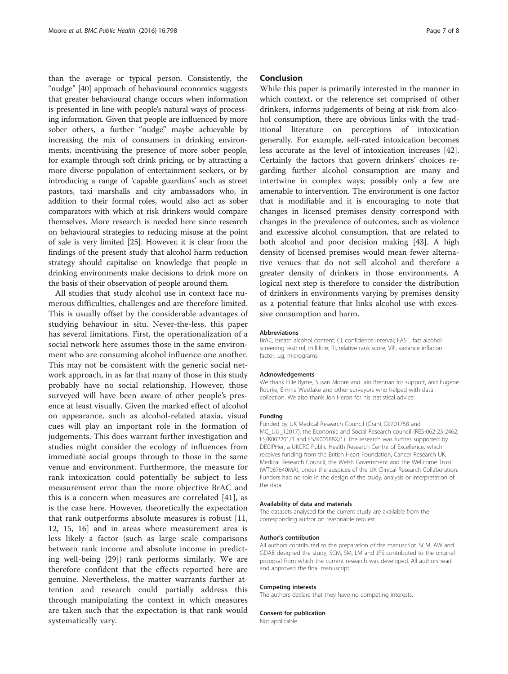than the average or typical person. Consistently, the "nudge" [[40](#page-7-0)] approach of behavioural economics suggests that greater behavioural change occurs when information is presented in line with people's natural ways of processing information. Given that people are influenced by more sober others, a further "nudge" maybe achievable by increasing the mix of consumers in drinking environments, incentivising the presence of more sober people, for example through soft drink pricing, or by attracting a more diverse population of entertainment seekers, or by introducing a range of 'capable guardians' such as street pastors, taxi marshalls and city ambassadors who, in addition to their formal roles, would also act as sober comparators with which at risk drinkers would compare themselves. More research is needed here since research on behavioural strategies to reducing misuse at the point of sale is very limited [\[25](#page-7-0)]. However, it is clear from the findings of the present study that alcohol harm reduction strategy should capitalise on knowledge that people in drinking environments make decisions to drink more on the basis of their observation of people around them.

All studies that study alcohol use in context face numerous difficulties, challenges and are therefore limited. This is usually offset by the considerable advantages of studying behaviour in situ. Never-the-less, this paper has several limitations. First, the operationalization of a social network here assumes those in the same environment who are consuming alcohol influence one another. This may not be consistent with the generic social network approach, in as far that many of those in this study probably have no social relationship. However, those surveyed will have been aware of other people's presence at least visually. Given the marked effect of alcohol on appearance, such as alcohol-related ataxia, visual cues will play an important role in the formation of judgements. This does warrant further investigation and studies might consider the ecology of influences from immediate social groups through to those in the same venue and environment. Furthermore, the measure for rank intoxication could potentially be subject to less measurement error than the more objective BrAC and this is a concern when measures are correlated [\[41](#page-7-0)], as is the case here. However, theoretically the expectation that rank outperforms absolute measures is robust [\[11](#page-7-0), [12, 15](#page-7-0), [16](#page-7-0)] and in areas where measurement area is less likely a factor (such as large scale comparisons between rank income and absolute income in predicting well-being [\[29](#page-7-0)]) rank performs similarly. We are therefore confident that the effects reported here are genuine. Nevertheless, the matter warrants further attention and research could partially address this through manipulating the context in which measures are taken such that the expectation is that rank would systematically vary.

#### Conclusion

While this paper is primarily interested in the manner in which context, or the reference set comprised of other drinkers, informs judgements of being at risk from alcohol consumption, there are obvious links with the traditional literature on perceptions of intoxication generally. For example, self-rated intoxication becomes less accurate as the level of intoxication increases [\[42](#page-7-0)]. Certainly the factors that govern drinkers' choices regarding further alcohol consumption are many and intertwine in complex ways; possibly only a few are amenable to intervention. The environment is one factor that is modifiable and it is encouraging to note that changes in licensed premises density correspond with changes in the prevalence of outcomes, such as violence and excessive alcohol consumption, that are related to both alcohol and poor decision making [\[43](#page-7-0)]. A high density of licensed premises would mean fewer alternative venues that do not sell alcohol and therefore a greater density of drinkers in those environments. A logical next step is therefore to consider the distribution of drinkers in environments varying by premises density as a potential feature that links alcohol use with excessive consumption and harm.

#### Abbreviations

BrAC, breath alcohol content; CI, confidence interval; FAST, fast alcohol screening test; ml, millilitre; Ri, relative rank score; VIF, variance inflation factor; μg, micrograms

#### Acknowledgements

We thank Ellie Byrne, Susan Moore and Iain Brennan for support, and Eugene Rourke, Emma Westlake and other surveyors who helped with data collection. We also thank Jon Heron for his statistical advice.

#### Funding

Funded by UK Medical Research Council (Grant G0701758 and MC\_UU\_12017), the Economic and Social Research council (RES-062-23-2462, ES/K002201/1 and ES/K00588X/1). The research was further supported by DECIPHer, a UKCRC Public Health Research Centre of Excellence, which receives funding from the British Heart Foundation, Cancer Research UK, Medical Research Council, the Welsh Government and the Wellcome Trust (WT087640MA), under the auspices of the UK Clinical Research Collaboration. Funders had no role in the design of the study, analysis or interpretation of the data.

#### Availability of data and materials

The datasets analysed for the current study are available from the corresponding author on reasonable request.

#### Author's contribution

All authors contributed to the preparation of the manuscript. SCM, AW and GDAB designed the study, SCM, SM, LM and JPS contributed to the original proposal from which the current research was developed. All authors read and approved the final manuscript.

#### Competing interests

The authors declare that they have no competing interests.

#### Consent for publication

Not applicable.